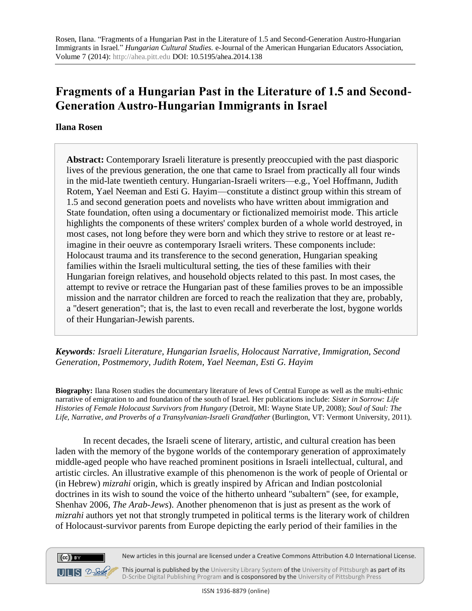# **Fragments of a Hungarian Past in the Literature of 1.5 and Second-Generation Austro-Hungarian Immigrants in Israel**

## **Ilana Rosen**

 $(cc)$  BY

 $UILS 2-<sub>Schk</sub>$ 

**Abstract:** Contemporary Israeli literature is presently preoccupied with the past diasporic lives of the previous generation, the one that came to Israel from practically all four winds in the mid-late twentieth century. Hungarian-Israeli writers—e.g., Yoel Hoffmann, Judith Rotem, Yael Neeman and Esti G. Hayim—constitute a distinct group within this stream of 1.5 and second generation poets and novelists who have written about immigration and State foundation, often using a documentary or fictionalized memoirist mode. This article highlights the components of these writers' complex burden of a whole world destroyed, in most cases, not long before they were born and which they strive to restore or at least reimagine in their oeuvre as contemporary Israeli writers. These components include: Holocaust trauma and its transference to the second generation, Hungarian speaking families within the Israeli multicultural setting, the ties of these families with their Hungarian foreign relatives, and household objects related to this past. In most cases, the attempt to revive or retrace the Hungarian past of these families proves to be an impossible mission and the narrator children are forced to reach the realization that they are, probably, a "desert generation"; that is, the last to even recall and reverberate the lost, bygone worlds of their Hungarian-Jewish parents.

*Keywords: Israeli Literature, Hungarian Israelis, Holocaust Narrative, Immigration, Second Generation, Postmemory, Judith Rotem, Yael Neeman, Esti G. Hayim*

**Biography:** Ilana Rosen studies the documentary literature of Jews of Central Europe as well as the multi-ethnic narrative of emigration to and foundation of the south of Israel. Her publications include: *Sister in Sorrow: Life Histories of Female Holocaust Survivors from Hungary* (Detroit, MI: Wayne State UP, 2008); *Soul of Saul: The Life, Narrative, and Proverbs of a Transylvanian-Israeli Grandfather* (Burlington, VT: Vermont University, 2011).

In recent decades, the Israeli scene of literary, artistic, and cultural creation has been laden with the memory of the bygone worlds of the contemporary generation of approximately middle-aged people who have reached prominent positions in Israeli intellectual, cultural, and artistic circles. An illustrative example of this phenomenon is the work of people of Oriental or (in Hebrew) *mizrahi* origin, which is greatly inspired by African and Indian postcolonial doctrines in its wish to sound the voice of the hitherto unheard "subaltern" (see, for example, Shenhav 2006, *The Arab-Jews*). Another phenomenon that is just as present as the work of *mizrahi* authors yet not that strongly trumpeted in political terms is the literary work of children of Holocaust-survivor parents from Europe depicting the early period of their families in the

New articles in this journal are licensed under a Creative Commons Attribution 4.0 International License.

This journal is published by th[e University Library System](http://www.library.pitt.edu/) of th[e University of Pittsburgh](http://www.pitt.edu/) as part of its [D-Scribe Digital Publishing Program](http://www.library.pitt.edu/articles/digpubtype/index.html) and is cosponsored by the [University of Pittsburgh Press](http://upress.pitt.edu/)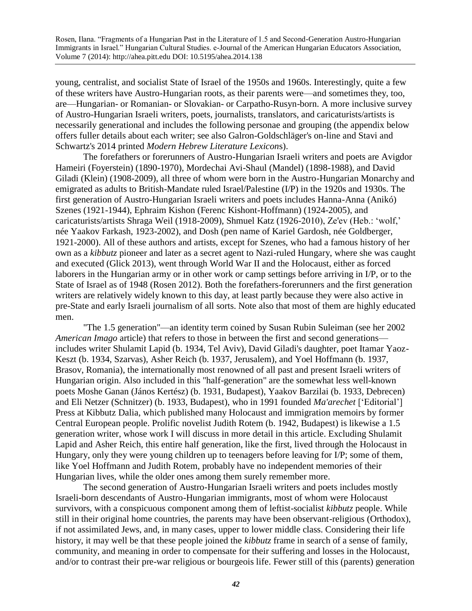young, centralist, and socialist State of Israel of the 1950s and 1960s. Interestingly, quite a few of these writers have Austro-Hungarian roots, as their parents were—and sometimes they, too, are—Hungarian- or Romanian- or Slovakian- or Carpatho-Rusyn-born. A more inclusive survey of Austro-Hungarian Israeli writers, poets, journalists, translators, and caricaturists/artists is necessarily generational and includes the following personae and grouping (the appendix below offers fuller details about each writer; see also Galron-Goldschläger's on-line and Stavi and Schwartz's 2014 printed *Modern Hebrew Literature Lexicon*s).

The forefathers or forerunners of Austro-Hungarian Israeli writers and poets are Avigdor Hameiri (Foyerstein) (1890-1970), Mordechai Avi-Shaul (Mandel) (1898-1988), and David Giladi (Klein) (1908-2009), all three of whom were born in the Austro-Hungarian Monarchy and emigrated as adults to British-Mandate ruled Israel/Palestine (I/P) in the 1920s and 1930s. The first generation of Austro-Hungarian Israeli writers and poets includes Hanna-Anna (Anikó) Szenes (1921-1944), Ephraim Kishon (Ferenc Kishont-Hoffmann) (1924-2005), and caricaturists/artists Shraga Weil (1918-2009), Shmuel Katz (1926-2010), Ze'ev (Heb.: 'wolf,' née Yaakov Farkash, 1923-2002), and Dosh (pen name of Kariel Gardosh, née Goldberger, 1921-2000). All of these authors and artists, except for Szenes, who had a famous history of her own as a *kibbutz* pioneer and later as a secret agent to Nazi-ruled Hungary, where she was caught and executed (Glick 2013), went through World War II and the Holocaust, either as forced laborers in the Hungarian army or in other work or camp settings before arriving in I/P, or to the State of Israel as of 1948 (Rosen 2012). Both the forefathers-forerunners and the first generation writers are relatively widely known to this day, at least partly because they were also active in pre-State and early Israeli journalism of all sorts. Note also that most of them are highly educated men.

"The 1.5 generation"—an identity term coined by Susan Rubin Suleiman (see her 2002 *American Imago* article) that refers to those in between the first and second generations includes writer Shulamit Lapid (b. 1934, Tel Aviv), David Giladi's daughter, poet Itamar Yaoz-Keszt (b. 1934, Szarvas), Asher Reich (b. 1937, Jerusalem), and Yoel Hoffmann (b. 1937, Brasov, Romania), the internationally most renowned of all past and present Israeli writers of Hungarian origin. Also included in this "half-generation" are the somewhat less well-known poets Moshe Ganan (János Kertész) (b. 1931, Budapest), Yaakov Barzilai (b. 1933, Debrecen) and Eli Netzer (Schnitzer) (b. 1933, Budapest), who in 1991 founded *Ma'arechet* ['Editorial'] Press at Kibbutz Dalia, which published many Holocaust and immigration memoirs by former Central European people. Prolific novelist Judith Rotem (b. 1942, Budapest) is likewise a 1.5 generation writer, whose work I will discuss in more detail in this article. Excluding Shulamit Lapid and Asher Reich, this entire half generation, like the first, lived through the Holocaust in Hungary, only they were young children up to teenagers before leaving for I/P; some of them, like Yoel Hoffmann and Judith Rotem, probably have no independent memories of their Hungarian lives, while the older ones among them surely remember more.

The second generation of Austro-Hungarian Israeli writers and poets includes mostly Israeli-born descendants of Austro-Hungarian immigrants, most of whom were Holocaust survivors, with a conspicuous component among them of leftist-socialist *kibbutz* people. While still in their original home countries, the parents may have been observant-religious (Orthodox), if not assimilated Jews, and, in many cases, upper to lower middle class. Considering their life history, it may well be that these people joined the *kibbutz* frame in search of a sense of family, community, and meaning in order to compensate for their suffering and losses in the Holocaust, and/or to contrast their pre-war religious or bourgeois life. Fewer still of this (parents) generation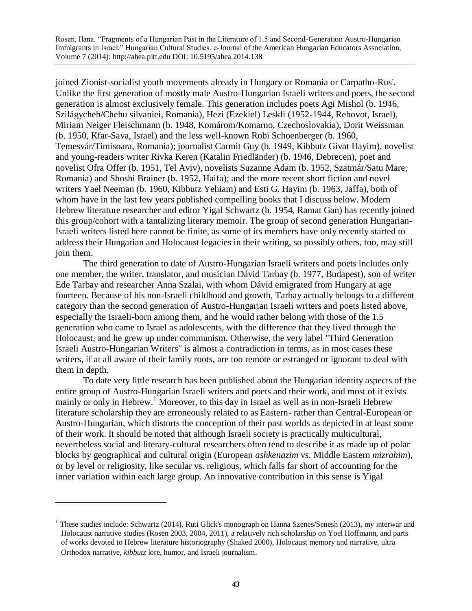joined Zionist-socialist youth movements already in Hungary or Romania or Carpatho-Rus'. Unlike the first generation of mostly male Austro-Hungarian Israeli writers and poets, the second generation is almost exclusively female. This generation includes poets Agi Mishol (b. 1946, Szilágycheh/Chehu silvaniei, Romania), Hezi (Ezekiel) Leskli (1952-1944, Rehovot, Israel), Miriam Neiger Fleischmann (b. 1948, Komárom/Komarno, Czechoslovakia), Dorit Weissman (b. 1950, Kfar-Sava, Israel) and the less well-known Robi Schoenberger (b. 1960, Temesvár/Timisoara, Romania); journalist Carmit Guy (b. 1949, Kibbutz Givat Hayim), novelist and young-readers writer Rivka Keren (Katalin Friedländer) (b. 1946, Debrecen), poet and novelist Ofra Offer (b. 1951, Tel Aviv), novelists Suzanne Adam (b. 1952, Szatmár/Satu Mare, Romania) and Shoshi Brainer (b. 1952, Haifa); and the more recent short fiction and novel writers Yael Neeman (b. 1960, Kibbutz Yehiam) and Esti G. Hayim (b. 1963, Jaffa), both of whom have in the last few years published compelling books that I discuss below. Modern Hebrew literature researcher and editor Yigal Schwartz (b. 1954, Ramat Gan) has recently joined this group/cohort with a tantalizing literary memoir. The group of second generation Hungarian-Israeli writers listed here cannot be finite, as some of its members have only recently started to address their Hungarian and Holocaust legacies in their writing, so possibly others, too, may still join them.

The third generation to date of Austro-Hungarian Israeli writers and poets includes only one member, the writer, translator, and musician Dávid Tarbay (b. 1977, Budapest), son of writer Ede Tarbay and researcher Anna Szalai, with whom Dávid emigrated from Hungary at age fourteen. Because of his non-Israeli childhood and growth, Tarbay actually belongs to a different category than the second generation of Austro-Hungarian Israeli writers and poets listed above, especially the Israeli-born among them, and he would rather belong with those of the 1.5 generation who came to Israel as adolescents, with the difference that they lived through the Holocaust, and he grew up under communism. Otherwise, the very label "Third Generation Israeli Austro-Hungarian Writers" is almost a contradiction in terms, as in most cases these writers, if at all aware of their family roots, are too remote or estranged or ignorant to deal with them in depth.

To date very little research has been published about the Hungarian identity aspects of the entire group of Austro-Hungarian Israeli writers and poets and their work, and most of it exists mainly or only in Hebrew.<sup>1</sup> Moreover, to this day in Israel as well as in non-Israeli Hebrew literature scholarship they are erroneously related to as Eastern- rather than Central-European or Austro-Hungarian, which distorts the conception of their past worlds as depicted in at least some of their work. It should be noted that although Israeli society is practically multicultural, nevertheless social and literary-cultural researchers often tend to describe it as made up of polar blocks by geographical and cultural origin (European *ashkenazim* vs. Middle Eastern *mizrahim*), or by level or religiosity, like secular vs. religious, which falls far short of accounting for the inner variation within each large group. An innovative contribution in this sense is Yigal

 $\overline{a}$ 

<sup>&</sup>lt;sup>1</sup> These studies include: Schwartz (2014), Ruti Glick's monograph on Hanna Szenes/Senesh (2013), my interwar and Holocaust narrative studies (Rosen 2003, 2004, 2011), a relatively rich scholarship on Yoel Hoffmann, and parts of works devoted to Hebrew literature historiography (Shaked 2000), Holocaust memory and narrative, ultra Orthodox narrative, *kibbutz* lore, humor, and Israeli journalism.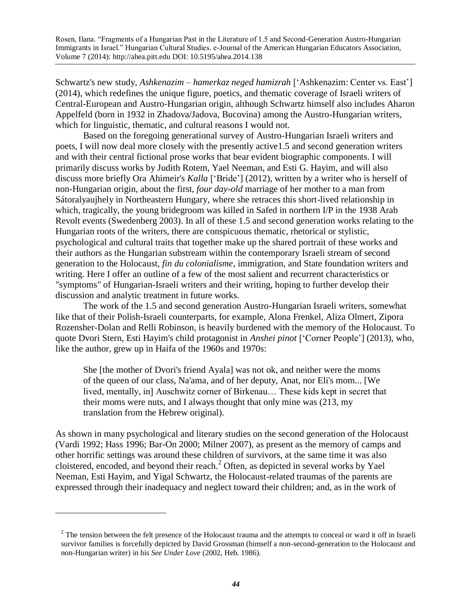Schwartz's new study, *Ashkenazim – hamerkaz neged hamizrah* ['Ashkenazim: Center vs. East'] (2014), which redefines the unique figure, poetics, and thematic coverage of Israeli writers of Central-European and Austro-Hungarian origin, although Schwartz himself also includes Aharon Appelfeld (born in 1932 in Zhadova/Jadova, Bucovina) among the Austro-Hungarian writers, which for linguistic, thematic, and cultural reasons I would not.

Based on the foregoing generational survey of Austro-Hungarian Israeli writers and poets, I will now deal more closely with the presently active1.5 and second generation writers and with their central fictional prose works that bear evident biographic components. I will primarily discuss works by Judith Rotem, Yael Neeman, and Esti G. Hayim, and will also discuss more briefly Ora Ahimeir's *Kalla* ['Bride'] (2012), written by a writer who is herself of non-Hungarian origin, about the first, *four day-old* marriage of her mother to a man from Sátoralyaujhely in Northeastern Hungary, where she retraces this short-lived relationship in which, tragically, the young bridegroom was killed in Safed in northern I/P in the 1938 Arab Revolt events (Swedenberg 2003). In all of these 1.5 and second generation works relating to the Hungarian roots of the writers, there are conspicuous thematic, rhetorical or stylistic, psychological and cultural traits that together make up the shared portrait of these works and their authors as the Hungarian substream within the contemporary Israeli stream of second generation to the Holocaust, *fin du colonialisme*, immigration, and State foundation writers and writing. Here I offer an outline of a few of the most salient and recurrent characteristics or "symptoms" of Hungarian-Israeli writers and their writing, hoping to further develop their discussion and analytic treatment in future works.

The work of the 1.5 and second generation Austro-Hungarian Israeli writers, somewhat like that of their Polish-Israeli counterparts, for example, Alona Frenkel, Aliza Olmert, Zipora Rozensher-Dolan and Relli Robinson, is heavily burdened with the memory of the Holocaust. To quote Dvori Stern, Esti Hayim's child protagonist in *Anshei pinot* ['Corner People'] (2013), who, like the author, grew up in Haifa of the 1960s and 1970s:

She [the mother of Dvori's friend Ayala] was not ok, and neither were the moms of the queen of our class, Na'ama, and of her deputy, Anat, nor Eli's mom... [We lived, mentally, in] Auschwitz corner of Birkenau… These kids kept in secret that their moms were nuts, and I always thought that only mine was (213, my translation from the Hebrew original).

As shown in many psychological and literary studies on the second generation of the Holocaust (Vardi 1992; Hass 1996; Bar-On 2000; Milner 2007), as present as the memory of camps and other horrific settings was around these children of survivors, at the same time it was also cloistered, encoded, and beyond their reach.<sup>2</sup> Often, as depicted in several works by Yael Neeman, Esti Hayim, and Yigal Schwartz, the Holocaust-related traumas of the parents are expressed through their inadequacy and neglect toward their children; and, as in the work of

 $\overline{a}$ 

 $2^2$  The tension between the felt presence of the Holocaust trauma and the attempts to conceal or ward it off in Israeli survivor families is forcefully depicted by David Grossman (himself a non-second-generation to the Holocaust and non-Hungarian writer) in his *See Under Love* (2002, Heb. 1986).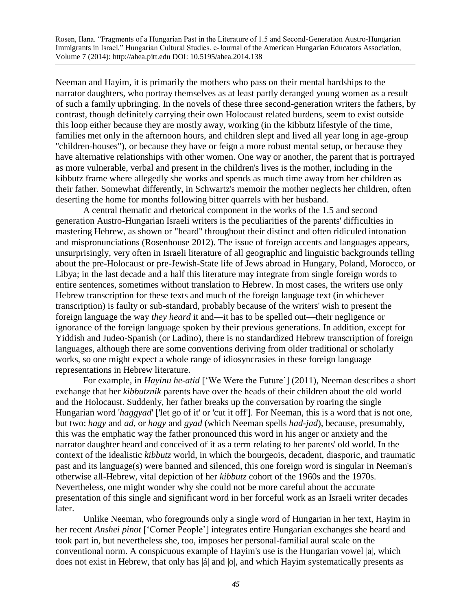Neeman and Hayim, it is primarily the mothers who pass on their mental hardships to the narrator daughters, who portray themselves as at least partly deranged young women as a result of such a family upbringing. In the novels of these three second-generation writers the fathers, by contrast, though definitely carrying their own Holocaust related burdens, seem to exist outside this loop either because they are mostly away, working (in the kibbutz lifestyle of the time, families met only in the afternoon hours, and children slept and lived all year long in age-group "children-houses"), or because they have or feign a more robust mental setup, or because they have alternative relationships with other women. One way or another, the parent that is portrayed as more vulnerable, verbal and present in the children's lives is the mother, including in the kibbutz frame where allegedly she works and spends as much time away from her children as their father. Somewhat differently, in Schwartz's memoir the mother neglects her children, often deserting the home for months following bitter quarrels with her husband.

A central thematic and rhetorical component in the works of the 1.5 and second generation Austro-Hungarian Israeli writers is the peculiarities of the parents' difficulties in mastering Hebrew, as shown or "heard" throughout their distinct and often ridiculed intonation and mispronunciations (Rosenhouse 2012). The issue of foreign accents and languages appears, unsurprisingly, very often in Israeli literature of all geographic and linguistic backgrounds telling about the pre-Holocaust or pre-Jewish-State life of Jews abroad in Hungary, Poland, Morocco, or Libya; in the last decade and a half this literature may integrate from single foreign words to entire sentences, sometimes without translation to Hebrew. In most cases, the writers use only Hebrew transcription for these texts and much of the foreign language text (in whichever transcription) is faulty or sub-standard, probably because of the writers' wish to present the foreign language the way *they heard* it and—it has to be spelled out—their negligence or ignorance of the foreign language spoken by their previous generations. In addition, except for Yiddish and Judeo-Spanish (or Ladino), there is no standardized Hebrew transcription of foreign languages, although there are some conventions deriving from older traditional or scholarly works, so one might expect a whole range of idiosyncrasies in these foreign language representations in Hebrew literature.

For example, in *Hayinu he-atid* ['We Were the Future'] (2011), Neeman describes a short exchange that her *kibbutznik* parents have over the heads of their children about the old world and the Holocaust. Suddenly, her father breaks up the conversation by roaring the single Hungarian word '*haggyad*' ['let go of it' or 'cut it off']. For Neeman, this is a word that is not one, but two: *hagy* and *ad*, or *hagy* and *gyad* (which Neeman spells *had-jad*), because, presumably, this was the emphatic way the father pronounced this word in his anger or anxiety and the narrator daughter heard and conceived of it as a term relating to her parents' old world. In the context of the idealistic *kibbutz* world, in which the bourgeois, decadent, diasporic, and traumatic past and its language(s) were banned and silenced, this one foreign word is singular in Neeman's otherwise all-Hebrew, vital depiction of her *kibbutz* cohort of the 1960s and the 1970s. Nevertheless, one might wonder why she could not be more careful about the accurate presentation of this single and significant word in her forceful work as an Israeli writer decades later.

Unlike Neeman, who foregrounds only a single word of Hungarian in her text, Hayim in her recent *Anshei pinot* ['Corner People'] integrates entire Hungarian exchanges she heard and took part in, but nevertheless she, too, imposes her personal-familial aural scale on the conventional norm. A conspicuous example of Hayim's use is the Hungarian vowel |a|, which does not exist in Hebrew, that only has |á| and |o|, and which Hayim systematically presents as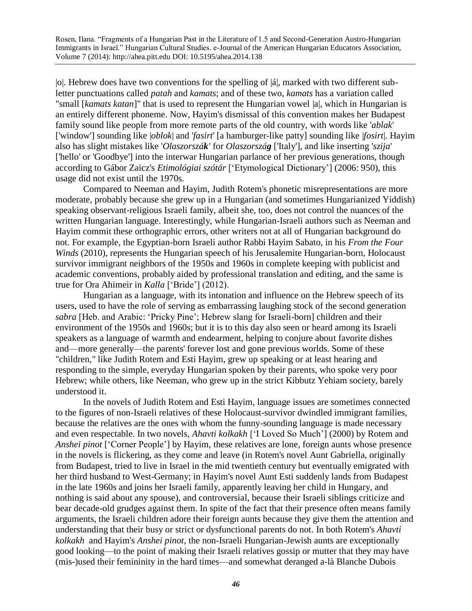|o|. Hebrew does have two conventions for the spelling of |á|, marked with two different subletter punctuations called *patah* and *kamats*; and of these two, *kamats* has a variation called "small [*kamats katan*]" that is used to represent the Hungarian vowel |a|, which in Hungarian is an entirely different phoneme. Now, Hayim's dismissal of this convention makes her Budapest family sound like people from more remote parts of the old country, with words like '*ablak*' ['window'] sounding like |*oblok*| and '*fasirt*' [a hamburger-like patty] sounding like |*fosirt*|. Hayim also has slight mistakes like '*Olaszorszák'* for *Olaszország* ['Italy'], and like inserting '*szija*' ['hello' or 'Goodbye'] into the interwar Hungarian parlance of her previous generations, though according to Gábor Zaicz's *Etimológiai szótár* ['Etymological Dictionary'] (2006: 950), this usage did not exist until the 1970s.

Compared to Neeman and Hayim, Judith Rotem's phonetic misrepresentations are more moderate, probably because she grew up in a Hungarian (and sometimes Hungarianized Yiddish) speaking observant-religious Israeli family, albeit she, too, does not control the nuances of the written Hungarian language. Interestingly, while Hungarian-Israeli authors such as Neeman and Hayim commit these orthographic errors, other writers not at all of Hungarian background do not. For example, the Egyptian-born Israeli author Rabbi Hayim Sabato, in his *From the Four Winds* (2010), represents the Hungarian speech of his Jerusalemite Hungarian-born, Holocaust survivor immigrant neighbors of the 1950s and 1960s in complete keeping with publicist and academic conventions, probably aided by professional translation and editing, and the same is true for Ora Ahimeir in *Kalla* ['Bride'] (2012).

Hungarian as a language, with its intonation and influence on the Hebrew speech of its users, used to have the role of serving as embarrassing laughing stock of the second generation *sabra* [Heb. and Arabic: 'Pricky Pine'; Hebrew slang for Israeli-born] children and their environment of the 1950s and 1960s; but it is to this day also seen or heard among its Israeli speakers as a language of warmth and endearment, helping to conjure about favorite dishes and—more generally—the parents' forever lost and gone previous worlds. Some of these "children," like Judith Rotem and Esti Hayim, grew up speaking or at least hearing and responding to the simple, everyday Hungarian spoken by their parents, who spoke very poor Hebrew; while others, like Neeman, who grew up in the strict Kibbutz Yehiam society, barely understood it.

In the novels of Judith Rotem and Esti Hayim, language issues are sometimes connected to the figures of non-Israeli relatives of these Holocaust-survivor dwindled immigrant families, because the relatives are the ones with whom the funny-sounding language is made necessary and even respectable. In two novels, *Ahavti kolkakh* ['I Loved So Much'] (2000) by Rotem and *Anshei pinot* ['Corner People'] by Hayim, these relatives are lone, foreign aunts whose presence in the novels is flickering, as they come and leave (in Rotem's novel Aunt Gabriella, originally from Budapest, tried to live in Israel in the mid twentieth century but eventually emigrated with her third husband to West-Germany; in Hayim's novel Aunt Esti suddenly lands from Budapest in the late 1960s and joins her Israeli family, apparently leaving her child in Hungary, and nothing is said about any spouse), and controversial, because their Israeli siblings criticize and bear decade-old grudges against them. In spite of the fact that their presence often means family arguments, the Israeli children adore their foreign aunts because they give them the attention and understanding that their busy or strict or dysfunctional parents do not. In both Rotem's *Ahavti kolkakh* and Hayim's *Anshei pinot*, the non-Israeli Hungarian-Jewish aunts are exceptionally good looking—to the point of making their Israeli relatives gossip or mutter that they may have (mis-)used their femininity in the hard times—and somewhat deranged a-là Blanche Dubois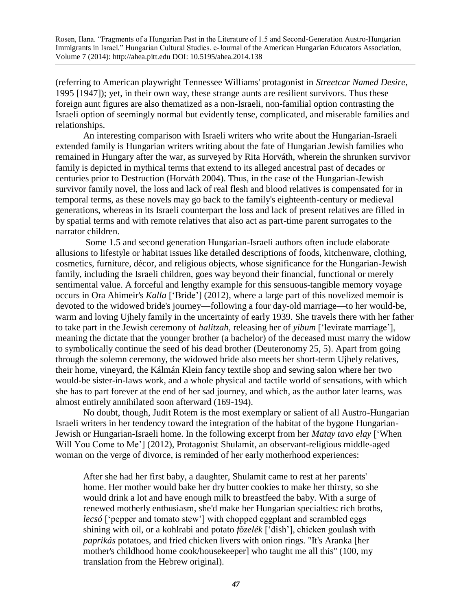(referring to American playwright Tennessee Williams' protagonist in *Streetcar Named Desire*, 1995 [1947]); yet, in their own way, these strange aunts are resilient survivors. Thus these foreign aunt figures are also thematized as a non-Israeli, non-familial option contrasting the Israeli option of seemingly normal but evidently tense, complicated, and miserable families and relationships.

An interesting comparison with Israeli writers who write about the Hungarian-Israeli extended family is Hungarian writers writing about the fate of Hungarian Jewish families who remained in Hungary after the war, as surveyed by Rita Horváth, wherein the shrunken survivor family is depicted in mythical terms that extend to its alleged ancestral past of decades or centuries prior to Destruction (Horváth 2004). Thus, in the case of the Hungarian-Jewish survivor family novel, the loss and lack of real flesh and blood relatives is compensated for in temporal terms, as these novels may go back to the family's eighteenth-century or medieval generations, whereas in its Israeli counterpart the loss and lack of present relatives are filled in by spatial terms and with remote relatives that also act as part-time parent surrogates to the narrator children.

Some 1.5 and second generation Hungarian-Israeli authors often include elaborate allusions to lifestyle or habitat issues like detailed descriptions of foods, kitchenware, clothing, cosmetics, furniture, décor, and religious objects, whose significance for the Hungarian-Jewish family, including the Israeli children, goes way beyond their financial, functional or merely sentimental value. A forceful and lengthy example for this sensuous-tangible memory voyage occurs in Ora Ahimeir's *Kalla* ['Bride'] (2012), where a large part of this novelized memoir is devoted to the widowed bride's journey—following a four day-old marriage—to her would-be, warm and loving Ujhely family in the uncertainty of early 1939. She travels there with her father to take part in the Jewish ceremony of *halitzah*, releasing her of *yibum* ['levirate marriage'], meaning the dictate that the younger brother (a bachelor) of the deceased must marry the widow to symbolically continue the seed of his dead brother (Deuteronomy 25, 5). Apart from going through the solemn ceremony, the widowed bride also meets her short-term Ujhely relatives, their home, vineyard, the Kálmán Klein fancy textile shop and sewing salon where her two would-be sister-in-laws work, and a whole physical and tactile world of sensations, with which she has to part forever at the end of her sad journey, and which, as the author later learns, was almost entirely annihilated soon afterward (169-194).

No doubt, though, Judit Rotem is the most exemplary or salient of all Austro-Hungarian Israeli writers in her tendency toward the integration of the habitat of the bygone Hungarian-Jewish or Hungarian-Israeli home. In the following excerpt from her *Matay tavo elay* ['When Will You Come to Me'] (2012), Protagonist Shulamit, an observant-religious middle-aged woman on the verge of divorce, is reminded of her early motherhood experiences:

After she had her first baby, a daughter, Shulamit came to rest at her parents' home. Her mother would bake her dry butter cookies to make her thirsty, so she would drink a lot and have enough milk to breastfeed the baby. With a surge of renewed motherly enthusiasm, she'd make her Hungarian specialties: rich broths, *lecsó* ['pepper and tomato stew'] with chopped eggplant and scrambled eggs shining with oil, or a kohlrabi and potato *fözelék* ['dish'], chicken goulash with *paprikás* potatoes, and fried chicken livers with onion rings. "It's Aranka [her mother's childhood home cook/housekeeper] who taught me all this" (100, my translation from the Hebrew original).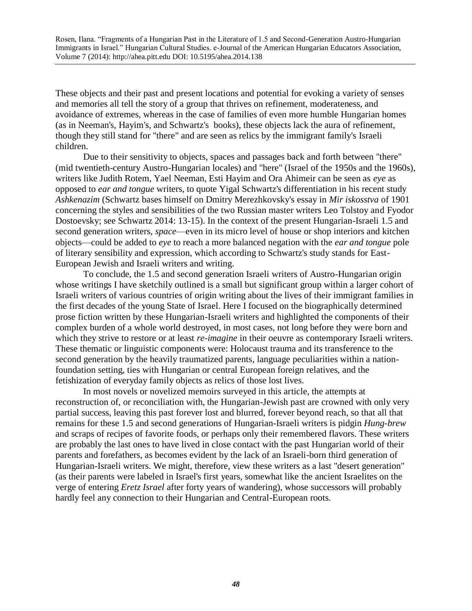These objects and their past and present locations and potential for evoking a variety of senses and memories all tell the story of a group that thrives on refinement, moderateness, and avoidance of extremes, whereas in the case of families of even more humble Hungarian homes (as in Neeman's, Hayim's, and Schwartz's books), these objects lack the aura of refinement, though they still stand for "there" and are seen as relics by the immigrant family's Israeli children.

Due to their sensitivity to objects, spaces and passages back and forth between "there" (mid twentieth-century Austro-Hungarian locales) and "here" (Israel of the 1950s and the 1960s), writers like Judith Rotem, Yael Neeman, Esti Hayim and Ora Ahimeir can be seen as *eye* as opposed to *ear and tongue* writers, to quote Yigal Schwartz's differentiation in his recent study *Ashkenazim* (Schwartz bases himself on Dmitry Merezhkovsky's essay in *Mir iskosstva* of 1901 concerning the styles and sensibilities of the two Russian master writers Leo Tolstoy and Fyodor Dostoevsky; see Schwartz 2014: 13-15). In the context of the present Hungarian-Israeli 1.5 and second generation writers, *space*—even in its micro level of house or shop interiors and kitchen objects—could be added to *eye* to reach a more balanced negation with the *ear and tongue* pole of literary sensibility and expression, which according to Schwartz's study stands for East-European Jewish and Israeli writers and writing.

To conclude, the 1.5 and second generation Israeli writers of Austro-Hungarian origin whose writings I have sketchily outlined is a small but significant group within a larger cohort of Israeli writers of various countries of origin writing about the lives of their immigrant families in the first decades of the young State of Israel. Here I focused on the biographically determined prose fiction written by these Hungarian-Israeli writers and highlighted the components of their complex burden of a whole world destroyed, in most cases, not long before they were born and which they strive to restore or at least *re-imagine* in their oeuvre as contemporary Israeli writers. These thematic or linguistic components were: Holocaust trauma and its transference to the second generation by the heavily traumatized parents, language peculiarities within a nationfoundation setting, ties with Hungarian or central European foreign relatives, and the fetishization of everyday family objects as relics of those lost lives.

In most novels or novelized memoirs surveyed in this article, the attempts at reconstruction of, or reconciliation with, the Hungarian-Jewish past are crowned with only very partial success, leaving this past forever lost and blurred, forever beyond reach, so that all that remains for these 1.5 and second generations of Hungarian-Israeli writers is pidgin *Hung-brew* and scraps of recipes of favorite foods, or perhaps only their remembered flavors. These writers are probably the last ones to have lived in close contact with the past Hungarian world of their parents and forefathers, as becomes evident by the lack of an Israeli-born third generation of Hungarian-Israeli writers. We might, therefore, view these writers as a last "desert generation" (as their parents were labeled in Israel's first years, somewhat like the ancient Israelites on the verge of entering *Eretz Israel* after forty years of wandering), whose successors will probably hardly feel any connection to their Hungarian and Central-European roots.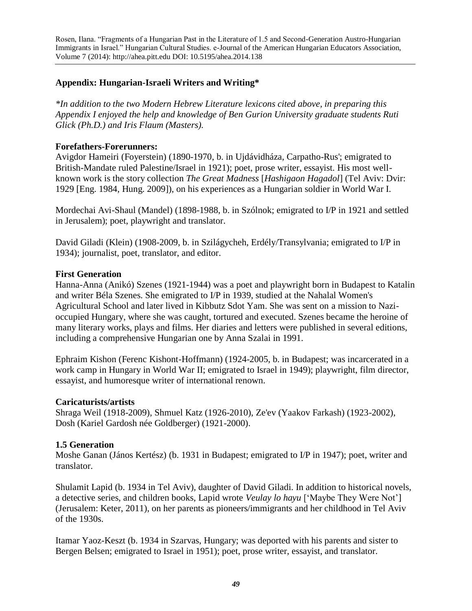## **Appendix: Hungarian-Israeli Writers and Writing\***

*\*In addition to the two Modern Hebrew Literature lexicons cited above, in preparing this Appendix I enjoyed the help and knowledge of Ben Gurion University graduate students Ruti Glick (Ph.D.) and Iris Flaum (Masters).*

## **Forefathers-Forerunners:**

Avigdor Hameiri (Foyerstein) (1890-1970, b. in Ujdávidháza, Carpatho-Rus'; emigrated to British-Mandate ruled Palestine/Israel in 1921); poet, prose writer, essayist. His most wellknown work is the story collection *The Great Madness* [*Hashigaon Hagadol*] (Tel Aviv: Dvir: 1929 [Eng. 1984, Hung. 2009]), on his experiences as a Hungarian soldier in World War I.

Mordechai Avi-Shaul (Mandel) (1898-1988, b. in Szólnok; emigrated to I/P in 1921 and settled in Jerusalem); poet, playwright and translator.

David Giladi (Klein) (1908-2009, b. in Szilágycheh, Erdély/Transylvania; emigrated to I/P in 1934); journalist, poet, translator, and editor.

#### **First Generation**

Hanna-Anna (Anikó) Szenes (1921-1944) was a poet and playwright born in Budapest to Katalin and writer Béla Szenes. She emigrated to I/P in 1939, studied at the Nahalal Women's Agricultural School and later lived in Kibbutz Sdot Yam. She was sent on a mission to Nazioccupied Hungary, where she was caught, tortured and executed. Szenes became the heroine of many literary works, plays and films. Her diaries and letters were published in several editions, including a comprehensive Hungarian one by Anna Szalai in 1991.

Ephraim Kishon (Ferenc Kishont-Hoffmann) (1924-2005, b. in Budapest; was incarcerated in a work camp in Hungary in World War II; emigrated to Israel in 1949); playwright, film director, essayist, and humoresque writer of international renown.

#### **Caricaturists/artists**

Shraga Weil (1918-2009), Shmuel Katz (1926-2010), Ze'ev (Yaakov Farkash) (1923-2002), Dosh (Kariel Gardosh née Goldberger) (1921-2000).

#### **1.5 Generation**

Moshe Ganan (János Kertész) (b. 1931 in Budapest; emigrated to I/P in 1947); poet, writer and translator.

Shulamit Lapid (b. 1934 in Tel Aviv), daughter of David Giladi. In addition to historical novels, a detective series, and children books, Lapid wrote *Veulay lo hayu* ['Maybe They Were Not'] (Jerusalem: Keter, 2011), on her parents as pioneers/immigrants and her childhood in Tel Aviv of the 1930s.

Itamar Yaoz-Keszt (b. 1934 in Szarvas, Hungary; was deported with his parents and sister to Bergen Belsen; emigrated to Israel in 1951); poet, prose writer, essayist, and translator.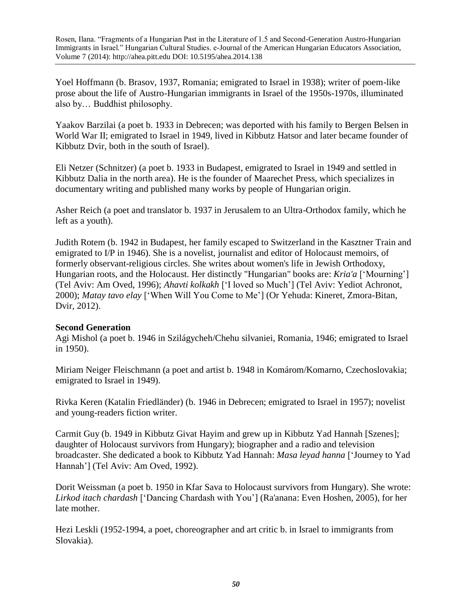Yoel Hoffmann (b. Brasov, 1937, Romania; emigrated to Israel in 1938); writer of poem-like prose about the life of Austro-Hungarian immigrants in Israel of the 1950s-1970s, illuminated also by… Buddhist philosophy.

Yaakov Barzilai (a poet b. 1933 in Debrecen; was deported with his family to Bergen Belsen in World War II; emigrated to Israel in 1949, lived in Kibbutz Hatsor and later became founder of Kibbutz Dvir, both in the south of Israel).

Eli Netzer (Schnitzer) (a poet b. 1933 in Budapest, emigrated to Israel in 1949 and settled in Kibbutz Dalia in the north area). He is the founder of Maarechet Press, which specializes in documentary writing and published many works by people of Hungarian origin.

Asher Reich (a poet and translator b. 1937 in Jerusalem to an Ultra-Orthodox family, which he left as a youth).

Judith Rotem (b. 1942 in Budapest, her family escaped to Switzerland in the Kasztner Train and emigrated to I/P in 1946). She is a novelist, journalist and editor of Holocaust memoirs, of formerly observant-religious circles. She writes about women's life in Jewish Orthodoxy, Hungarian roots, and the Holocaust. Her distinctly "Hungarian" books are: *Kria'a* ['Mourning'] (Tel Aviv: Am Oved, 1996); *Ahavti kolkakh* ['I loved so Much'] (Tel Aviv: Yediot Achronot, 2000); *Matay tavo elay* ['When Will You Come to Me'] (Or Yehuda: Kineret, Zmora-Bitan, Dvir, 2012).

## **Second Generation**

Agi Mishol (a poet b. 1946 in Szilágycheh/Chehu silvaniei, Romania, 1946; emigrated to Israel in 1950).

Miriam Neiger Fleischmann (a poet and artist b. 1948 in Komárom/Komarno, Czechoslovakia; emigrated to Israel in 1949).

Rivka Keren (Katalin Friedländer) (b. 1946 in Debrecen; emigrated to Israel in 1957); novelist and young-readers fiction writer.

Carmit Guy (b. 1949 in Kibbutz Givat Hayim and grew up in Kibbutz Yad Hannah [Szenes]; daughter of Holocaust survivors from Hungary); biographer and a radio and television broadcaster. She dedicated a book to Kibbutz Yad Hannah: *Masa leyad hanna* ['Journey to Yad Hannah'] (Tel Aviv: Am Oved, 1992).

Dorit Weissman (a poet b. 1950 in Kfar Sava to Holocaust survivors from Hungary). She wrote: *Lirkod itach chardash* ['Dancing Chardash with You'] (Ra'anana: Even Hoshen, 2005), for her late mother.

Hezi Leskli (1952-1994, a poet, choreographer and art critic b. in Israel to immigrants from Slovakia).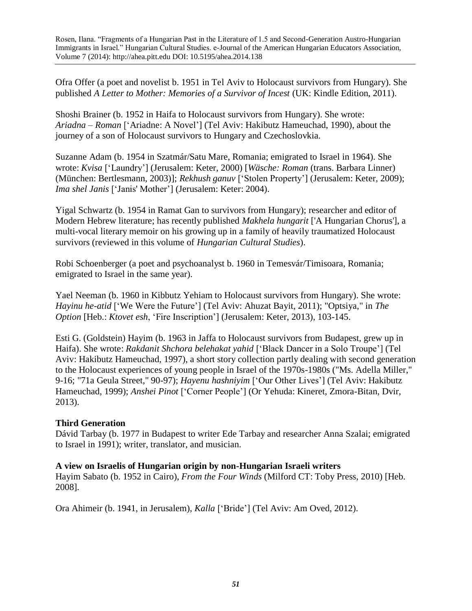Ofra Offer (a poet and novelist b. 1951 in Tel Aviv to Holocaust survivors from Hungary). She published *A Letter to Mother: Memories of a Survivor of Incest* (UK: Kindle Edition, 2011).

Shoshi Brainer (b. 1952 in Haifa to Holocaust survivors from Hungary). She wrote: *Ariadna – Roman* ['Ariadne: A Novel'] (Tel Aviv: Hakibutz Hameuchad, 1990), about the journey of a son of Holocaust survivors to Hungary and Czechoslovkia.

Suzanne Adam (b. 1954 in Szatmár/Satu Mare, Romania; emigrated to Israel in 1964). She wrote: *Kvisa* ['Laundry'] (Jerusalem: Keter, 2000) [*Wäsche: Roman* (trans. Barbara Linner) (München: Bertlesmann, 2003)]; *Rekhush ganuv* ['Stolen Property'] (Jerusalem: Keter, 2009); *Ima shel Janis* ['Janis' Mother'] (Jerusalem: Keter: 2004).

Yigal Schwartz (b. 1954 in Ramat Gan to survivors from Hungary); researcher and editor of Modern Hebrew literature; has recently published *Makhela hungarit* ['A Hungarian Chorus'], a multi-vocal literary memoir on his growing up in a family of heavily traumatized Holocaust survivors (reviewed in this volume of *Hungarian Cultural Studies*).

Robi Schoenberger (a poet and psychoanalyst b. 1960 in Temesvár/Timisoara, Romania; emigrated to Israel in the same year).

Yael Neeman (b. 1960 in Kibbutz Yehiam to Holocaust survivors from Hungary). She wrote: *Hayinu he-atid* ['We Were the Future'] (Tel Aviv: Ahuzat Bayit, 2011); "Optsiya," in *The Option* [Heb.: *Ktovet esh*, 'Fire Inscription'] (Jerusalem: Keter, 2013), 103-145.

Esti G. (Goldstein) Hayim (b. 1963 in Jaffa to Holocaust survivors from Budapest, grew up in Haifa). She wrote: *Rakdanit Shchora belehakat yahid* ['Black Dancer in a Solo Troupe'] (Tel Aviv: Hakibutz Hameuchad, 1997), a short story collection partly dealing with second generation to the Holocaust experiences of young people in Israel of the 1970s-1980s ("Ms. Adella Miller," 9-16; "71a Geula Street," 90-97); *Hayenu hashniyim* ['Our Other Lives'] (Tel Aviv: Hakibutz Hameuchad, 1999); *Anshei Pinot* ['Corner People'] (Or Yehuda: Kineret, Zmora-Bitan, Dvir, 2013).

## **Third Generation**

Dávid Tarbay (b. 1977 in Budapest to writer Ede Tarbay and researcher Anna Szalai; emigrated to Israel in 1991); writer, translator, and musician.

## **A view on Israelis of Hungarian origin by non-Hungarian Israeli writers**

Hayim Sabato (b. 1952 in Cairo), *From the Four Winds* (Milford CT: Toby Press, 2010) [Heb. 2008].

Ora Ahimeir (b. 1941, in Jerusalem), *Kalla* ['Bride'] (Tel Aviv: Am Oved, 2012).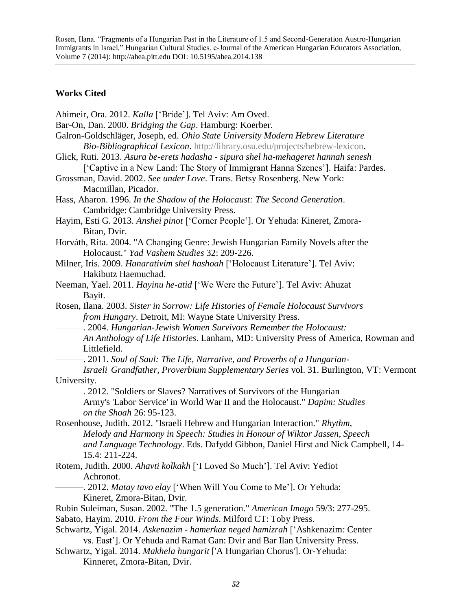## **Works Cited**

| Ahimeir, Ora. 2012. Kalla ['Bride']. Tel Aviv: Am Oved.<br>Bar-On, Dan. 2000. Bridging the Gap. Hamburg: Koerber.<br>Galron-Goldschläger, Joseph, ed. Ohio State University Modern Hebrew Literature<br>Bio-Bibliographical Lexicon. http://library.osu.edu/projects/hebrew-lexicon.<br>Glick, Ruti. 2013. Asura be-erets hadasha - sipura shel ha-mehageret hannah senesh<br>['Captive in a New Land: The Story of Immigrant Hanna Szenes']. Haifa: Pardes.<br>Grossman, David. 2002. See under Love. Trans. Betsy Rosenberg. New York:<br>Macmillan, Picador. |
|-----------------------------------------------------------------------------------------------------------------------------------------------------------------------------------------------------------------------------------------------------------------------------------------------------------------------------------------------------------------------------------------------------------------------------------------------------------------------------------------------------------------------------------------------------------------|
| Hass, Aharon. 1996. In the Shadow of the Holocaust: The Second Generation.                                                                                                                                                                                                                                                                                                                                                                                                                                                                                      |
| Cambridge: Cambridge University Press.                                                                                                                                                                                                                                                                                                                                                                                                                                                                                                                          |
| Hayim, Esti G. 2013. Anshei pinot ['Corner People']. Or Yehuda: Kineret, Zmora-                                                                                                                                                                                                                                                                                                                                                                                                                                                                                 |
| Bitan, Dvir.                                                                                                                                                                                                                                                                                                                                                                                                                                                                                                                                                    |
| Horváth, Rita. 2004. "A Changing Genre: Jewish Hungarian Family Novels after the<br>Holocaust." Yad Vashem Studies 32: 209-226.                                                                                                                                                                                                                                                                                                                                                                                                                                 |
| Milner, Iris. 2009. Hanarativim shel hashoah ['Holocaust Literature']. Tel Aviv:                                                                                                                                                                                                                                                                                                                                                                                                                                                                                |
| Hakibutz Haemuchad.                                                                                                                                                                                                                                                                                                                                                                                                                                                                                                                                             |
| Neeman, Yael. 2011. Hayinu he-atid ['We Were the Future']. Tel Aviv: Ahuzat                                                                                                                                                                                                                                                                                                                                                                                                                                                                                     |
| Bayit.                                                                                                                                                                                                                                                                                                                                                                                                                                                                                                                                                          |
| Rosen, Ilana. 2003. Sister in Sorrow: Life Histories of Female Holocaust Survivors                                                                                                                                                                                                                                                                                                                                                                                                                                                                              |
| from Hungary. Detroit, MI: Wayne State University Press.                                                                                                                                                                                                                                                                                                                                                                                                                                                                                                        |
| -. 2004. Hungarian-Jewish Women Survivors Remember the Holocaust:                                                                                                                                                                                                                                                                                                                                                                                                                                                                                               |
| An Anthology of Life Histories. Lanham, MD: University Press of America, Rowman and<br>Littlefield.                                                                                                                                                                                                                                                                                                                                                                                                                                                             |
| - 2011. Soul of Saul: The Life, Narrative, and Proverbs of a Hungarian-                                                                                                                                                                                                                                                                                                                                                                                                                                                                                         |
| Israeli Grandfather, Proverbium Supplementary Series vol. 31. Burlington, VT: Vermont                                                                                                                                                                                                                                                                                                                                                                                                                                                                           |
| University.                                                                                                                                                                                                                                                                                                                                                                                                                                                                                                                                                     |
| -. 2012. "Soldiers or Slaves? Narratives of Survivors of the Hungarian                                                                                                                                                                                                                                                                                                                                                                                                                                                                                          |
| Army's 'Labor Service' in World War II and the Holocaust." Dapim: Studies                                                                                                                                                                                                                                                                                                                                                                                                                                                                                       |
| on the Shoah 26: 95-123.                                                                                                                                                                                                                                                                                                                                                                                                                                                                                                                                        |
| Rosenhouse, Judith. 2012. "Israeli Hebrew and Hungarian Interaction." Rhythm,                                                                                                                                                                                                                                                                                                                                                                                                                                                                                   |
| Melody and Harmony in Speech: Studies in Honour of Wiktor Jassen, Speech                                                                                                                                                                                                                                                                                                                                                                                                                                                                                        |
| and Language Technology. Eds. Dafydd Gibbon, Daniel Hirst and Nick Campbell, 14-                                                                                                                                                                                                                                                                                                                                                                                                                                                                                |
| 15.4: 211-224.                                                                                                                                                                                                                                                                                                                                                                                                                                                                                                                                                  |
| Rotem, Judith. 2000. Ahavti kolkakh ['I Loved So Much']. Tel Aviv: Yediot                                                                                                                                                                                                                                                                                                                                                                                                                                                                                       |
| Achronot.                                                                                                                                                                                                                                                                                                                                                                                                                                                                                                                                                       |
| -. 2012. Matay tavo elay ['When Will You Come to Me']. Or Yehuda:                                                                                                                                                                                                                                                                                                                                                                                                                                                                                               |
| Kineret, Zmora-Bitan, Dvir.                                                                                                                                                                                                                                                                                                                                                                                                                                                                                                                                     |
| Rubin Suleiman, Susan. 2002. "The 1.5 generation." American Imago 59/3: 277-295.                                                                                                                                                                                                                                                                                                                                                                                                                                                                                |
| Sabato, Hayim. 2010. From the Four Winds. Milford CT: Toby Press.                                                                                                                                                                                                                                                                                                                                                                                                                                                                                               |
| Schwartz, Yigal. 2014. Askenazim - hamerkaz neged hamizrah ['Ashkenazim: Center                                                                                                                                                                                                                                                                                                                                                                                                                                                                                 |
| vs. East']. Or Yehuda and Ramat Gan: Dvir and Bar Ilan University Press.                                                                                                                                                                                                                                                                                                                                                                                                                                                                                        |
| Schwartz, Yigal. 2014. Makhela hungarit ['A Hungarian Chorus']. Or-Yehuda:                                                                                                                                                                                                                                                                                                                                                                                                                                                                                      |
| Kinneret, Zmora-Bitan, Dvir.                                                                                                                                                                                                                                                                                                                                                                                                                                                                                                                                    |
|                                                                                                                                                                                                                                                                                                                                                                                                                                                                                                                                                                 |